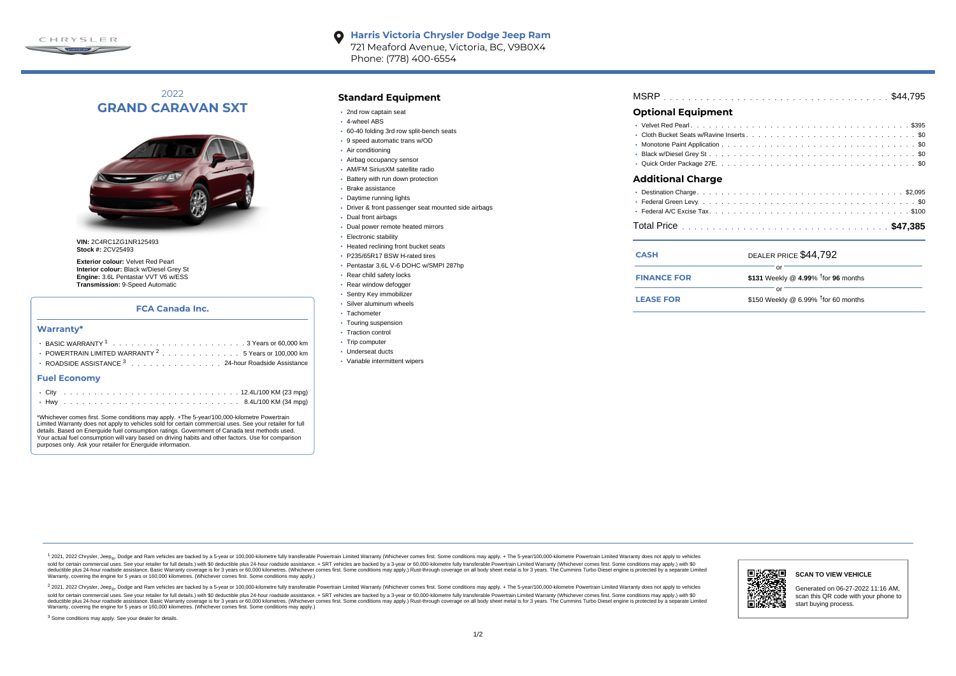

#### **Harris Victoria Chrysler Dodge Jeep Ram**  $\bullet$ 721 Meaford Avenue, Victoria, BC, V9B0X4 Phone: (778) 400-6554

# 2022 **GRAND CARAVAN SXT**



**VIN:** 2C4RC1ZG1NR125493 **Stock #:** 2CV25493

**Exterior colour:** Velvet Red Pearl **Interior colour:** Black w/Diesel Grey St **Engine:** 3.6L Pentastar VVT V6 w/ESS **Transmission:** 9-Speed Automatic

## **FCA Canada Inc.**

### **Warranty\***

| <b>• POWERTRAIN LIMITED WARRANTY <math>^{2}</math>, , , , , , , , , , , , , , 5 Years or 100.000 km</b> |
|---------------------------------------------------------------------------------------------------------|
| • ROADSIDE ASSISTANCE 3 24-hour Roadside Assistance                                                     |

#### **Fuel Economy**

\*Whichever comes first. Some conditions may apply. +The 5-year/100,000-kilometre Powertrain Limited Warranty does not apply to vehicles sold for certain commercial uses. See your retailer for full details. Based on Energuide fuel consumption ratings. Government of Canada test methods used. Your actual fuel consumption will vary based on driving habits and other factors. Use for comparison purposes only. Ask your retailer for Energuide information.

## **Standard Equipment**

- 2nd row captain seat
- 4-wheel ABS
- 60-40 folding 3rd row split-bench seats
- 9 speed automatic trans w/OD
- Air conditioning
- Airbag occupancy sensor
- AM/FM SiriusXM satellite radio
- Battery with run down protection
- Brake assistance
- Daytime running lights
- Driver & front passenger seat mounted side airbags
- Dual front airbags
- Dual power remote heated mirrors
- Electronic stability
- Heated reclining front bucket seats
- P235/65R17 BSW H-rated tires
- Pentastar 3.6L V-6 DOHC w/SMPI 287hp
- Rear child safety locks
- Rear window defogger
- Sentry Key immobilizer
- Silver aluminum wheels
- · Tachometer
- Touring suspension
- Traction control
- Trip computer
- Underseat ducts
- Variable intermittent wipers

| <b>Optional Equipment</b> |  |  |  |  |  |  |  |  |  |  |  |  |  |
|---------------------------|--|--|--|--|--|--|--|--|--|--|--|--|--|
|                           |  |  |  |  |  |  |  |  |  |  |  |  |  |

## . . . . . . . . . . . . . . . . . . . . . . . . . . . . . . . . . . . . . . . . . . . . . . Cloth Bucket Seats w/Ravine Inserts \$0 . . . . . . . . . . . . . . . . . . . . . . . . . . . . . . . . . . . . . . . . . . . . . . Monotone Paint Application \$0 . . . . . . . . . . . . . . . . . . . . . . . . . . . . . . . . . . . . . . . . . . . . . . Black w/Diesel Grey St \$0

. . . . . . . . . . . . . . . . . . . . . . . . . . . . . . . . . . . . . . . . . . . . . . Quick Order Package 27E \$0

### **Additional Charge**

| <b>CASH</b> |  | DEALER PRICE \$44.792 |  |
|-------------|--|-----------------------|--|
|             |  |                       |  |
|             |  |                       |  |
|             |  |                       |  |

|                    | $0 - 1$                                         |  |
|--------------------|-------------------------------------------------|--|
|                    |                                                 |  |
| <b>FINANCE FOR</b> | \$131 Weekly @ 4.99% <sup>†</sup> for 96 months |  |
|                    |                                                 |  |
| <b>LEASE FOR</b>   | \$150 Weekly @ 6.99% $†$ for 60 months          |  |

1 2021, 2022 Chrysler, Jeep.... Dodge and Ram vehicles are backed by a 5-year or 100,000-kilometre fully transferable Powertrain Limited Warranty (Whichever comes first. Some conditions may apply. + The 5-year/100,000-kilo sold for certain commercial uses. See your retailer for full details) with \$0 deductible plus 24-hour madside assistance. + SRT vehicles are backed by a 3-year or 60.000-kilometre fully transferable Powertrain Limited Warr detuctible plus 24-hour roadside assistance. Basic Warranty coverage is for 3 years or 60,000 kilometres. Whichever comes first. Some conditions may apply.) Rust-through coverage on all body sheet metals for 3 years. The C Warranty, covering the engine for 5 years or 160,000 kilometres. (Whichever comes first. Some conditions may apply.)

2 2021, 2022 Chrysler, Jeep<sub>e</sub>, Dodge and Ram vehicles are backed by a 5-year or 100,000-kilometre fully transferable Powertrain Limited Warranty (Whichever comes first. Some conditions may apply. + The 5-year/100,000-kilo sold for certain commercial uses. See your retailer for full details.) with \$0 deductible plus 24-hour roadside assistance. + SRT vehicles are backed by a 3-year or 60.000-kilometre fully transferable Powertrain Limited Wa deductible plus 24-hour roadside assistance. Basic Warranty coverage is for 3 years or 60,000 kilometres. (Whichever comes first. Some conditions may apply.) Rust-through coverage on all body sheet metal is for 3 years. Th



### **SCAN TO VIEW VEHICLE**

Generated on 06-27-2022 11:16 AM, scan this QR code with your phone to start buying process.

<sup>3</sup> Some conditions may apply. See your dealer for details.